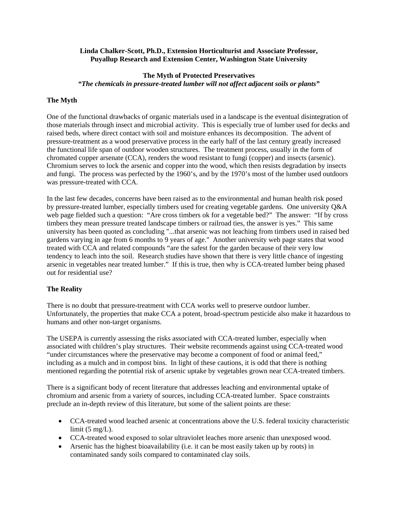#### **Linda Chalker-Scott, Ph.D., Extension Horticulturist and Associate Professor, Puyallup Research and Extension Center, Washington State University**

# **The Myth of Protected Preservatives**  *"The chemicals in pressure-treated lumber will not affect adjacent soils or plants"*

## **The Myth**

One of the functional drawbacks of organic materials used in a landscape is the eventual disintegration of those materials through insect and microbial activity. This is especially true of lumber used for decks and raised beds, where direct contact with soil and moisture enhances its decomposition. The advent of pressure-treatment as a wood preservative process in the early half of the last century greatly increased the functional life span of outdoor wooden structures. The treatment process, usually in the form of chromated copper arsenate (CCA), renders the wood resistant to fungi (copper) and insects (arsenic). Chromium serves to lock the arsenic and copper into the wood, which then resists degradation by insects and fungi. The process was perfected by the 1960's, and by the 1970's most of the lumber used outdoors was pressure-treated with CCA.

In the last few decades, concerns have been raised as to the environmental and human health risk posed by pressure-treated lumber, especially timbers used for creating vegetable gardens. One university Q&A web page fielded such a question: "Are cross timbers ok for a vegetable bed?" The answer: "If by cross timbers they mean pressure treated landscape timbers or railroad ties, the answer is yes." This same university has been quoted as concluding "...that arsenic was not leaching from timbers used in raised bed gardens varying in age from 6 months to 9 years of age." Another university web page states that wood treated with CCA and related compounds "are the safest for the garden because of their very low tendency to leach into the soil. Research studies have shown that there is very little chance of ingesting arsenic in vegetables near treated lumber." If this is true, then why is CCA-treated lumber being phased out for residential use?

### **The Reality**

There is no doubt that pressure-treatment with CCA works well to preserve outdoor lumber. Unfortunately, the properties that make CCA a potent, broad-spectrum pesticide also make it hazardous to humans and other non-target organisms.

The USEPA is currently assessing the risks associated with CCA-treated lumber, especially when associated with children's play structures. Their website recommends against using CCA-treated wood "under circumstances where the preservative may become a component of food or animal feed," including as a mulch and in compost bins. In light of these cautions, it is odd that there is nothing mentioned regarding the potential risk of arsenic uptake by vegetables grown near CCA-treated timbers.

There is a significant body of recent literature that addresses leaching and environmental uptake of chromium and arsenic from a variety of sources, including CCA-treated lumber. Space constraints preclude an in-depth review of this literature, but some of the salient points are these:

- CCA-treated wood leached arsenic at concentrations above the U.S. federal toxicity characteristic limit  $(5 \text{ mg/L})$ .
- CCA-treated wood exposed to solar ultraviolet leaches more arsenic than unexposed wood.
- Arsenic has the highest bioavailability (i.e. it can be most easily taken up by roots) in contaminated sandy soils compared to contaminated clay soils.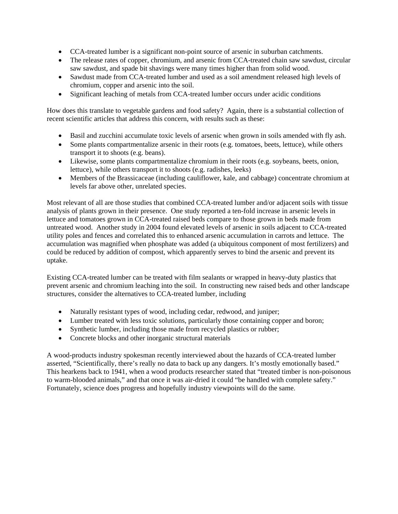- CCA-treated lumber is a significant non-point source of arsenic in suburban catchments.
- The release rates of copper, chromium, and arsenic from CCA-treated chain saw sawdust, circular saw sawdust, and spade bit shavings were many times higher than from solid wood.
- Sawdust made from CCA-treated lumber and used as a soil amendment released high levels of chromium, copper and arsenic into the soil.
- Significant leaching of metals from CCA-treated lumber occurs under acidic conditions

How does this translate to vegetable gardens and food safety? Again, there is a substantial collection of recent scientific articles that address this concern, with results such as these:

- Basil and zucchini accumulate toxic levels of arsenic when grown in soils amended with fly ash.
- Some plants compartmentalize arsenic in their roots (e.g. tomatoes, beets, lettuce), while others transport it to shoots (e.g. beans).
- Likewise, some plants compartmentalize chromium in their roots (e.g. soybeans, beets, onion, lettuce), while others transport it to shoots (e.g. radishes, leeks)
- Members of the Brassicaceae (including cauliflower, kale, and cabbage) concentrate chromium at levels far above other, unrelated species.

Most relevant of all are those studies that combined CCA-treated lumber and/or adjacent soils with tissue analysis of plants grown in their presence. One study reported a ten-fold increase in arsenic levels in lettuce and tomatoes grown in CCA-treated raised beds compare to those grown in beds made from untreated wood. Another study in 2004 found elevated levels of arsenic in soils adjacent to CCA-treated utility poles and fences and correlated this to enhanced arsenic accumulation in carrots and lettuce. The accumulation was magnified when phosphate was added (a ubiquitous component of most fertilizers) and could be reduced by addition of compost, which apparently serves to bind the arsenic and prevent its uptake.

Existing CCA-treated lumber can be treated with film sealants or wrapped in heavy-duty plastics that prevent arsenic and chromium leaching into the soil. In constructing new raised beds and other landscape structures, consider the alternatives to CCA-treated lumber, including

- Naturally resistant types of wood, including cedar, redwood, and juniper;
- Lumber treated with less toxic solutions, particularly those containing copper and boron;
- Synthetic lumber, including those made from recycled plastics or rubber;
- Concrete blocks and other inorganic structural materials

A wood-products industry spokesman recently interviewed about the hazards of CCA-treated lumber asserted, "Scientifically, there's really no data to back up any dangers. It's mostly emotionally based." This hearkens back to 1941, when a wood products researcher stated that "treated timber is non-poisonous to warm-blooded animals," and that once it was air-dried it could "be handled with complete safety." Fortunately, science does progress and hopefully industry viewpoints will do the same.